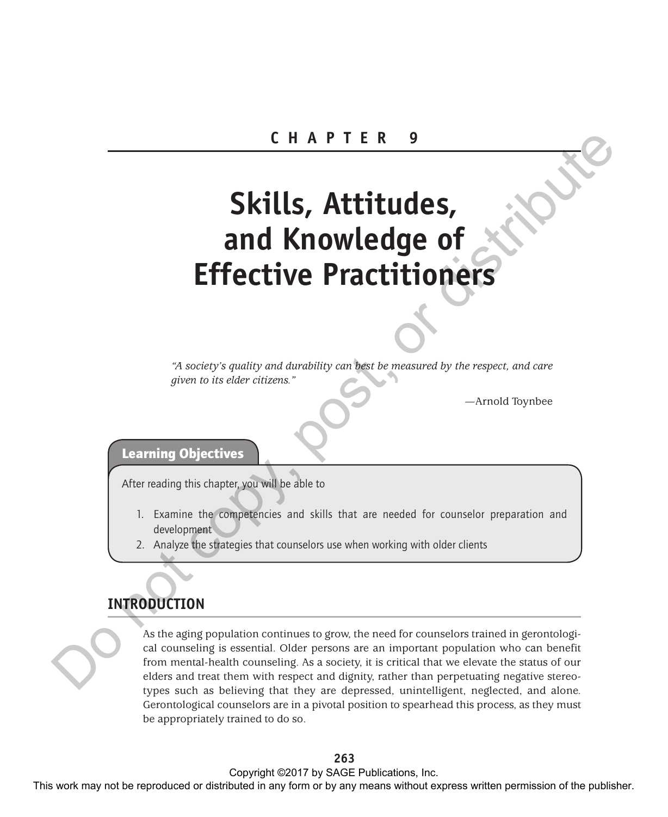# **Skills, Attitudes, and Knowledge of Effective Practitioners**

*"A society's quality and durability can best be measured by the respect, and care given to its elder citizens."*

—Arnold Toynbee

# Learning Objectives

After reading this chapter, you will be able to

- 1. Examine the competencies and skills that are needed for counselor preparation and development
- 2. Analyze the strategies that counselors use when working with older clients

# **INTRODUCTION**

As the aging population continues to grow, the need for counselors trained in gerontological counseling is essential. Older persons are an important population who can benefit from mental-health counseling. As a society, it is critical that we elevate the status of our elders and treat them with respect and dignity, rather than perpetuating negative stereotypes such as believing that they are depressed, unintelligent, neglected, and alone. Gerontological counselors are in a pivotal position to spearhead this process, as they must be appropriately trained to do so. **The reproduced or distribution or distribution or distribution of the representation of the publisher.**<br>
The control of the publisher of the publisher of the publisher of the publisher and control of publisher. The publi

**263**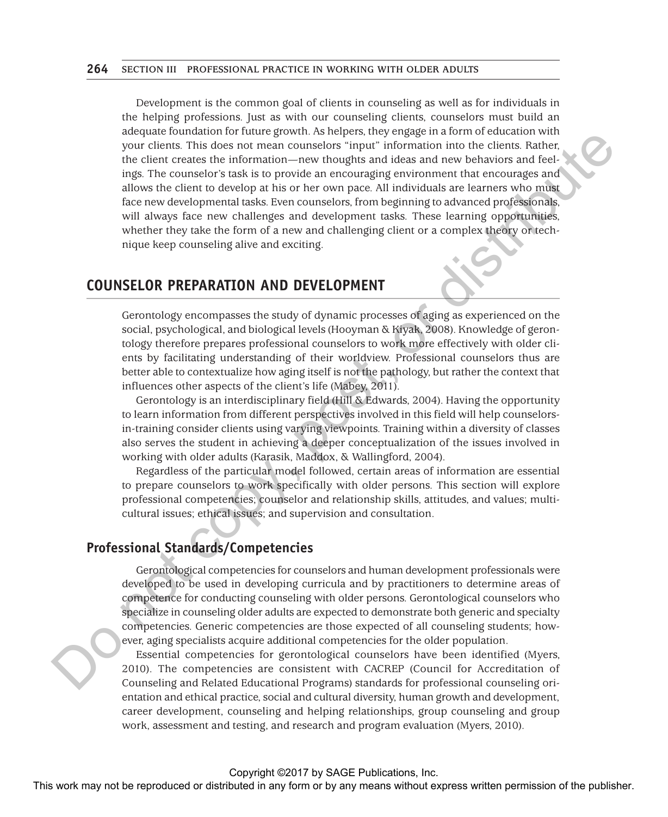Development is the common goal of clients in counseling as well as for individuals in the helping professions. Just as with our counseling clients, counselors must build an adequate foundation for future growth. As helpers, they engage in a form of education with your clients. This does not mean counselors "input" information into the clients. Rather, the client creates the information—new thoughts and ideas and new behaviors and feelings. The counselor's task is to provide an encouraging environment that encourages and allows the client to develop at his or her own pace. All individuals are learners who must face new developmental tasks. Even counselors, from beginning to advanced professionals, will always face new challenges and development tasks. These learning opportunities, whether they take the form of a new and challenging client or a complex theory or technique keep counseling alive and exciting. The results of the control or the control or the publisher of the publisher of the reproduced or distributed in any form or by any form or by any means with the publisher. This will also an expression of the control of th

# **COUNSELOR PREPARATION AND DEVELOPMENT**

Gerontology encompasses the study of dynamic processes of aging as experienced on the social, psychological, and biological levels (Hooyman & Kiyak, 2008). Knowledge of gerontology therefore prepares professional counselors to work more effectively with older clients by facilitating understanding of their worldview. Professional counselors thus are better able to contextualize how aging itself is not the pathology, but rather the context that influences other aspects of the client's life (Mabey, 2011).

Gerontology is an interdisciplinary field (Hill & Edwards, 2004). Having the opportunity to learn information from different perspectives involved in this field will help counselorsin-training consider clients using varying viewpoints. Training within a diversity of classes also serves the student in achieving a deeper conceptualization of the issues involved in working with older adults (Karasik, Maddox, & Wallingford, 2004).

Regardless of the particular model followed, certain areas of information are essential to prepare counselors to work specifically with older persons. This section will explore professional competencies; counselor and relationship skills, attitudes, and values; multicultural issues; ethical issues; and supervision and consultation.

# **Professional Standards/Competencies**

Gerontological competencies for counselors and human development professionals were developed to be used in developing curricula and by practitioners to determine areas of competence for conducting counseling with older persons. Gerontological counselors who specialize in counseling older adults are expected to demonstrate both generic and specialty competencies. Generic competencies are those expected of all counseling students; however, aging specialists acquire additional competencies for the older population.

Essential competencies for gerontological counselors have been identified (Myers, 2010). The competencies are consistent with CACREP (Council for Accreditation of Counseling and Related Educational Programs) standards for professional counseling orientation and ethical practice, social and cultural diversity, human growth and development, career development, counseling and helping relationships, group counseling and group work, assessment and testing, and research and program evaluation (Myers, 2010).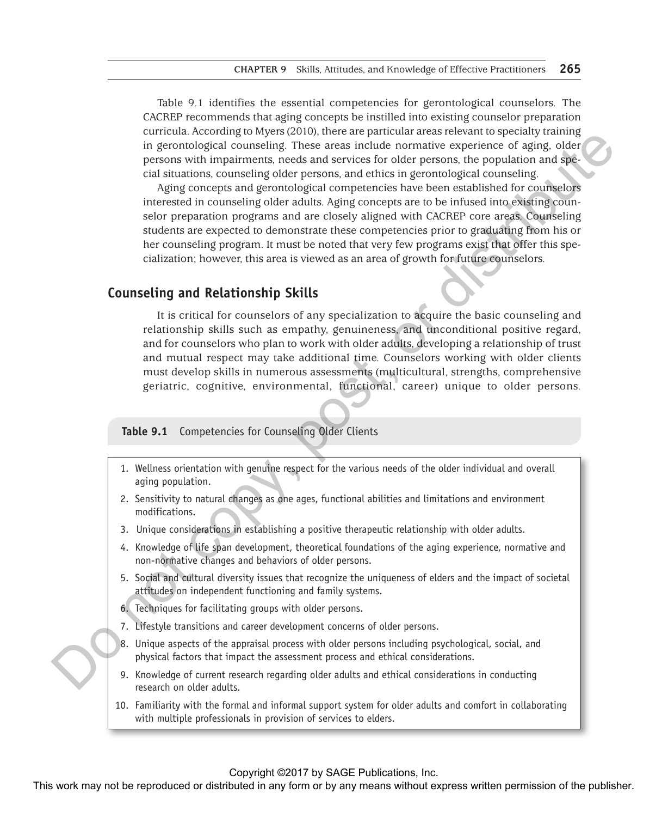Table 9.1 identifies the essential competencies for gerontological counselors. The CACREP recommends that aging concepts be instilled into existing counselor preparation curricula. According to Myers (2010), there are particular areas relevant to specialty training in gerontological counseling. These areas include normative experience of aging, older persons with impairments, needs and services for older persons, the population and special situations, counseling older persons, and ethics in gerontological counseling.

Aging concepts and gerontological competencies have been established for counselors interested in counseling older adults. Aging concepts are to be infused into existing counselor preparation programs and are closely aligned with CACREP core areas. Counseling students are expected to demonstrate these competencies prior to graduating from his or her counseling program. It must be noted that very few programs exist that offer this specialization; however, this area is viewed as an area of growth for future counselors. The representation or the representation of the representation of the representation of the representation of the representation of the representation of the representation of the representation of the publisher. Applicat

# **Counseling and Relationship Skills**

It is critical for counselors of any specialization to acquire the basic counseling and relationship skills such as empathy, genuineness, and unconditional positive regard, and for counselors who plan to work with older adults, developing a relationship of trust and mutual respect may take additional time. Counselors working with older clients must develop skills in numerous assessments (multicultural, strengths, comprehensive geriatric, cognitive, environmental, functional, career) unique to older persons.

#### **Table 9.1** Competencies for Counseling Older Clients

- 1. Wellness orientation with genuine respect for the various needs of the older individual and overall aging population.
- 2. Sensitivity to natural changes as one ages, functional abilities and limitations and environment modifications.
- 3. Unique considerations in establishing a positive therapeutic relationship with older adults.
- 4. Knowledge of life span development, theoretical foundations of the aging experience, normative and non-normative changes and behaviors of older persons.
- 5. Social and cultural diversity issues that recognize the uniqueness of elders and the impact of societal attitudes on independent functioning and family systems.
- 6. Techniques for facilitating groups with older persons.
- 7. Lifestyle transitions and career development concerns of older persons.
- 8. Unique aspects of the appraisal process with older persons including psychological, social, and physical factors that impact the assessment process and ethical considerations.
- 9. Knowledge of current research regarding older adults and ethical considerations in conducting research on older adults.
- 10. Familiarity with the formal and informal support system for older adults and comfort in collaborating with multiple professionals in provision of services to elders.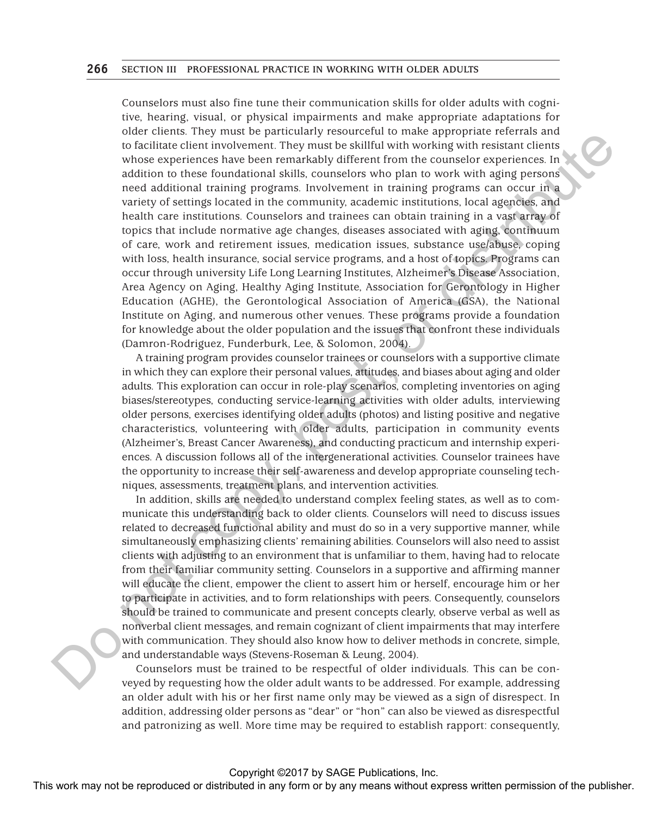#### **266 Section III PROFESSIONAL PRACTICE IN WORKING WITH OLDER ADULTS**

Counselors must also fine tune their communication skills for older adults with cognitive, hearing, visual, or physical impairments and make appropriate adaptations for older clients. They must be particularly resourceful to make appropriate referrals and to facilitate client involvement. They must be skillful with working with resistant clients whose experiences have been remarkably different from the counselor experiences. In addition to these foundational skills, counselors who plan to work with aging persons need additional training programs. Involvement in training programs can occur in a variety of settings located in the community, academic institutions, local agencies, and health care institutions. Counselors and trainees can obtain training in a vast array of topics that include normative age changes, diseases associated with aging, continuum of care, work and retirement issues, medication issues, substance use/abuse, coping with loss, health insurance, social service programs, and a host of topics. Programs can occur through university Life Long Learning Institutes, Alzheimer's Disease Association, Area Agency on Aging, Healthy Aging Institute, Association for Gerontology in Higher Education (AGHE), the Gerontological Association of America (GSA), the National Institute on Aging, and numerous other venues. These programs provide a foundation for knowledge about the older population and the issues that confront these individuals (Damron-Rodriguez, Funderburk, Lee, & Solomon, 2004). The control or the repression of the repression of the representation of the publisher or distributed in any form or by a statistical control of the representation of the control or distributed in any or by any means when

A training program provides counselor trainees or counselors with a supportive climate in which they can explore their personal values, attitudes, and biases about aging and older adults. This exploration can occur in role-play scenarios, completing inventories on aging biases/stereotypes, conducting service-learning activities with older adults, interviewing older persons, exercises identifying older adults (photos) and listing positive and negative characteristics, volunteering with older adults, participation in community events (Alzheimer's, Breast Cancer Awareness), and conducting practicum and internship experiences. A discussion follows all of the intergenerational activities. Counselor trainees have the opportunity to increase their self-awareness and develop appropriate counseling techniques, assessments, treatment plans, and intervention activities.

In addition, skills are needed to understand complex feeling states, as well as to communicate this understanding back to older clients. Counselors will need to discuss issues related to decreased functional ability and must do so in a very supportive manner, while simultaneously emphasizing clients' remaining abilities. Counselors will also need to assist clients with adjusting to an environment that is unfamiliar to them, having had to relocate from their familiar community setting. Counselors in a supportive and affirming manner will educate the client, empower the client to assert him or herself, encourage him or her to participate in activities, and to form relationships with peers. Consequently, counselors should be trained to communicate and present concepts clearly, observe verbal as well as nonverbal client messages, and remain cognizant of client impairments that may interfere with communication. They should also know how to deliver methods in concrete, simple, and understandable ways (Stevens-Roseman & Leung, 2004).

Counselors must be trained to be respectful of older individuals. This can be conveyed by requesting how the older adult wants to be addressed. For example, addressing an older adult with his or her first name only may be viewed as a sign of disrespect. In addition, addressing older persons as "dear" or "hon" can also be viewed as disrespectful and patronizing as well. More time may be required to establish rapport: consequently,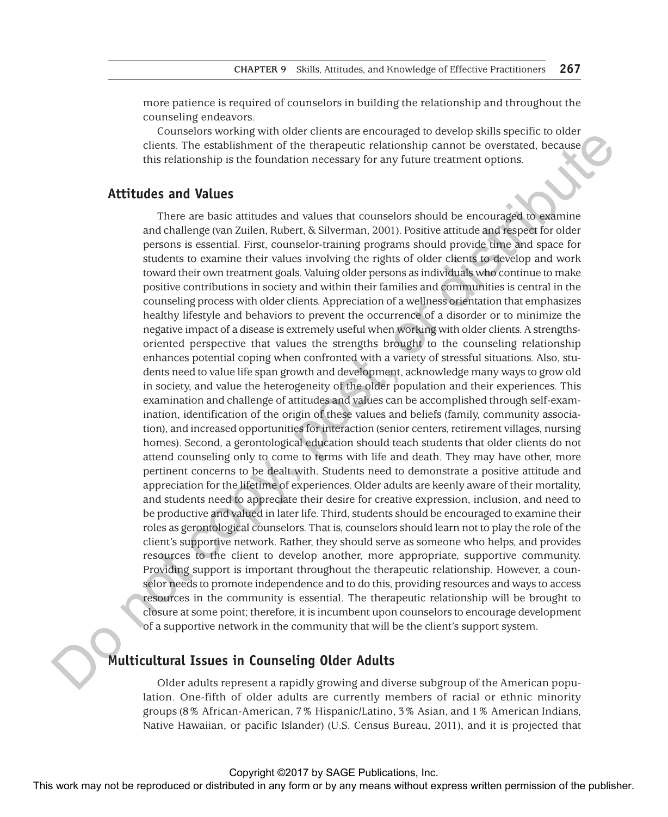more patience is required of counselors in building the relationship and throughout the counseling endeavors.

Counselors working with older clients are encouraged to develop skills specific to older clients. The establishment of the therapeutic relationship cannot be overstated, because this relationship is the foundation necessary for any future treatment options.

## **Attitudes and Values**

There are basic attitudes and values that counselors should be encouraged to examine and challenge (van Zuilen, Rubert, & Silverman, 2001). Positive attitude and respect for older persons is essential. First, counselor-training programs should provide time and space for students to examine their values involving the rights of older clients to develop and work toward their own treatment goals. Valuing older persons as individuals who continue to make positive contributions in society and within their families and communities is central in the counseling process with older clients. Appreciation of a wellness orientation that emphasizes healthy lifestyle and behaviors to prevent the occurrence of a disorder or to minimize the negative impact of a disease is extremely useful when working with older clients. A strengthsoriented perspective that values the strengths brought to the counseling relationship enhances potential coping when confronted with a variety of stressful situations. Also, students need to value life span growth and development, acknowledge many ways to grow old in society, and value the heterogeneity of the older population and their experiences. This examination and challenge of attitudes and values can be accomplished through self-examination, identification of the origin of these values and beliefs (family, community association), and increased opportunities for interaction (senior centers, retirement villages, nursing homes). Second, a gerontological education should teach students that older clients do not attend counseling only to come to terms with life and death. They may have other, more pertinent concerns to be dealt with. Students need to demonstrate a positive attitude and appreciation for the lifetime of experiences. Older adults are keenly aware of their mortality, and students need to appreciate their desire for creative expression, inclusion, and need to be productive and valued in later life. Third, students should be encouraged to examine their roles as gerontological counselors. That is, counselors should learn not to play the role of the client's supportive network. Rather, they should serve as someone who helps, and provides resources to the client to develop another, more appropriate, supportive community. Providing support is important throughout the therapeutic relationship. However, a counselor needs to promote independence and to do this, providing resources and ways to access resources in the community is essential. The therapeutic relationship will be brought to closure at some point; therefore, it is incumbent upon counselors to encourage development of a supportive network in the community that will be the client's support system. Chonoration of the any means of the publisher may not be reproduced or the publisher.<br>The reproduced or distributed in any form or by any form or by any form or by any means when the reproduced or the publisher. These are

## **Multicultural Issues in Counseling Older Adults**

Older adults represent a rapidly growing and diverse subgroup of the American population. One-fifth of older adults are currently members of racial or ethnic minority groups (8% African-American, 7% Hispanic/Latino, 3% Asian, and 1% American Indians, Native Hawaiian, or pacific Islander) (U.S. Census Bureau, 2011), and it is projected that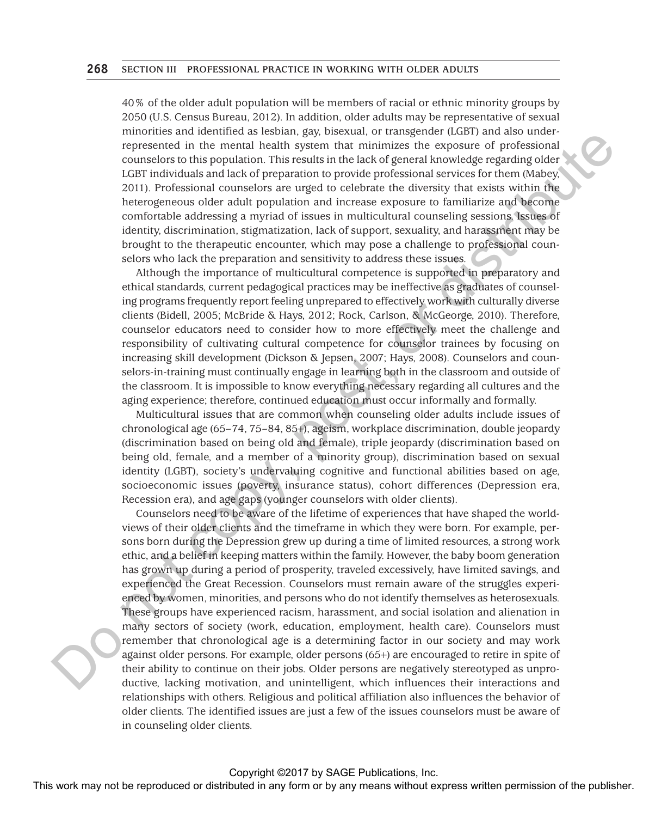40% of the older adult population will be members of racial or ethnic minority groups by 2050 (U.S. Census Bureau, 2012). In addition, older adults may be representative of sexual minorities and identified as lesbian, gay, bisexual, or transgender (LGBT) and also underrepresented in the mental health system that minimizes the exposure of professional counselors to this population. This results in the lack of general knowledge regarding older LGBT individuals and lack of preparation to provide professional services for them (Mabey, 2011). Professional counselors are urged to celebrate the diversity that exists within the heterogeneous older adult population and increase exposure to familiarize and become comfortable addressing a myriad of issues in multicultural counseling sessions. Issues of identity, discrimination, stigmatization, lack of support, sexuality, and harassment may be brought to the therapeutic encounter, which may pose a challenge to professional counselors who lack the preparation and sensitivity to address these issues.

Although the importance of multicultural competence is supported in preparatory and ethical standards, current pedagogical practices may be ineffective as graduates of counseling programs frequently report feeling unprepared to effectively work with culturally diverse clients (Bidell, 2005; McBride & Hays, 2012; Rock, Carlson, & McGeorge, 2010). Therefore, counselor educators need to consider how to more effectively meet the challenge and responsibility of cultivating cultural competence for counselor trainees by focusing on increasing skill development (Dickson & Jepsen, 2007; Hays, 2008). Counselors and counselors-in-training must continually engage in learning both in the classroom and outside of the classroom. It is impossible to know everything necessary regarding all cultures and the aging experience; therefore, continued education must occur informally and formally.

Multicultural issues that are common when counseling older adults include issues of chronological age (65–74, 75–84, 85+), ageism, workplace discrimination, double jeopardy (discrimination based on being old and female), triple jeopardy (discrimination based on being old, female, and a member of a minority group), discrimination based on sexual identity (LGBT), society's undervaluing cognitive and functional abilities based on age, socioeconomic issues (poverty, insurance status), cohort differences (Depression era, Recession era), and age gaps (younger counselors with older clients).

Counselors need to be aware of the lifetime of experiences that have shaped the worldviews of their older clients and the timeframe in which they were born. For example, persons born during the Depression grew up during a time of limited resources, a strong work ethic, and a belief in keeping matters within the family. However, the baby boom generation has grown up during a period of prosperity, traveled excessively, have limited savings, and experienced the Great Recession. Counselors must remain aware of the struggles experienced by women, minorities, and persons who do not identify themselves as heterosexuals. These groups have experienced racism, harassment, and social isolation and alienation in many sectors of society (work, education, employment, health care). Counselors must remember that chronological age is a determining factor in our society and may work against older persons. For example, older persons (65+) are encouraged to retire in spite of their ability to continue on their jobs. Older persons are negatively stereotyped as unproductive, lacking motivation, and unintelligent, which influences their interactions and relationships with others. Religious and political affiliation also influences the behavior of older clients. The identified issues are just a few of the issues counselors must be aware of in counseling older clients. The control of the repression or between the representation of the representation of the reproduced or distributed in any form or by any form or by any form or by any form or by any form or by any form or by any form or by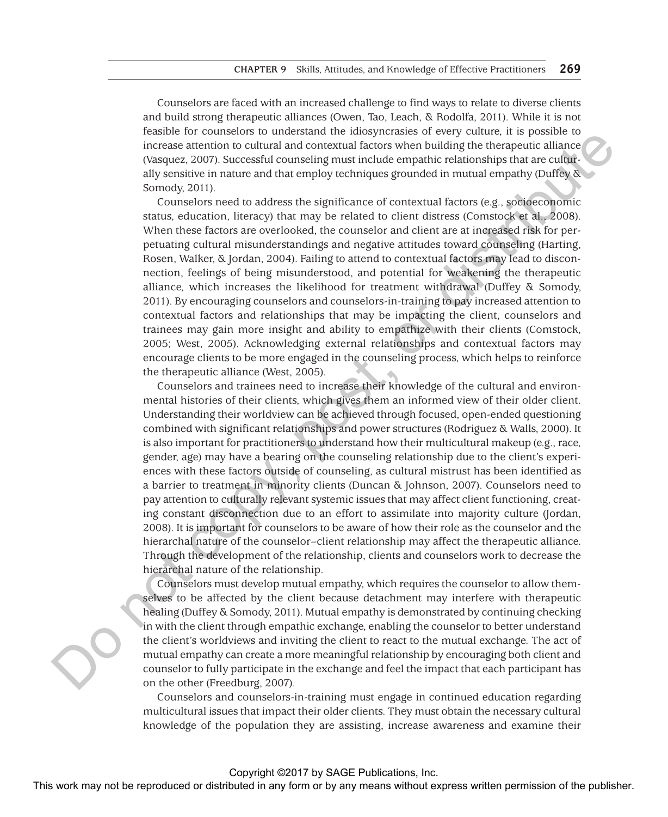Counselors are faced with an increased challenge to find ways to relate to diverse clients and build strong therapeutic alliances (Owen, Tao, Leach, & Rodolfa, 2011). While it is not feasible for counselors to understand the idiosyncrasies of every culture, it is possible to increase attention to cultural and contextual factors when building the therapeutic alliance (Vasquez, 2007). Successful counseling must include empathic relationships that are culturally sensitive in nature and that employ techniques grounded in mutual empathy (Duffey & Somody, 2011).

Counselors need to address the significance of contextual factors (e.g., socioeconomic status, education, literacy) that may be related to client distress (Comstock et al., 2008). When these factors are overlooked, the counselor and client are at increased risk for perpetuating cultural misunderstandings and negative attitudes toward counseling (Harting, Rosen, Walker, & Jordan, 2004). Failing to attend to contextual factors may lead to disconnection, feelings of being misunderstood, and potential for weakening the therapeutic alliance, which increases the likelihood for treatment withdrawal (Duffey  $\&$  Somody, 2011). By encouraging counselors and counselors-in-training to pay increased attention to contextual factors and relationships that may be impacting the client, counselors and trainees may gain more insight and ability to empathize with their clients (Comstock, 2005; West, 2005). Acknowledging external relationships and contextual factors may encourage clients to be more engaged in the counseling process, which helps to reinforce the therapeutic alliance (West, 2005).

Counselors and trainees need to increase their knowledge of the cultural and environmental histories of their clients, which gives them an informed view of their older client. Understanding their worldview can be achieved through focused, open-ended questioning combined with significant relationships and power structures (Rodriguez & Walls, 2000). It is also important for practitioners to understand how their multicultural makeup (e.g., race, gender, age) may have a bearing on the counseling relationship due to the client's experiences with these factors outside of counseling, as cultural mistrust has been identified as a barrier to treatment in minority clients (Duncan & Johnson, 2007). Counselors need to pay attention to culturally relevant systemic issues that may affect client functioning, creating constant disconnection due to an effort to assimilate into majority culture (Jordan, 2008). It is important for counselors to be aware of how their role as the counselor and the hierarchal nature of the counselor–client relationship may affect the therapeutic alliance. Through the development of the relationship, clients and counselors work to decrease the hierarchal nature of the relationship. The counter or the constrained or the reproduced or the reproduced or the reproduced or the reproduced or the publisher. The reproduced in the reproduced in the results were also the counter of the publisher. Since the pub

Counselors must develop mutual empathy, which requires the counselor to allow themselves to be affected by the client because detachment may interfere with therapeutic healing (Duffey & Somody, 2011). Mutual empathy is demonstrated by continuing checking in with the client through empathic exchange, enabling the counselor to better understand the client's worldviews and inviting the client to react to the mutual exchange. The act of mutual empathy can create a more meaningful relationship by encouraging both client and counselor to fully participate in the exchange and feel the impact that each participant has on the other (Freedburg, 2007).

Counselors and counselors-in-training must engage in continued education regarding multicultural issues that impact their older clients. They must obtain the necessary cultural knowledge of the population they are assisting, increase awareness and examine their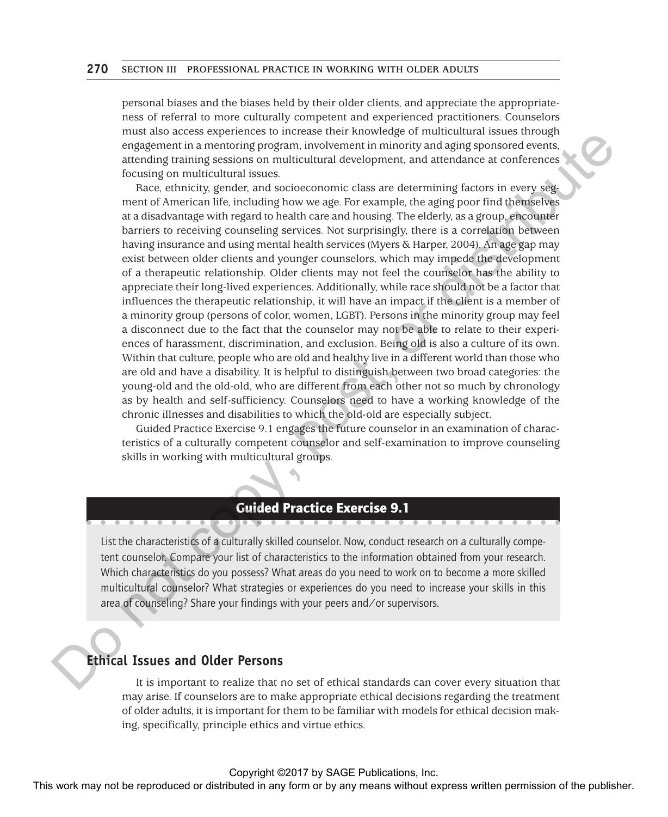personal biases and the biases held by their older clients, and appreciate the appropriateness of referral to more culturally competent and experienced practitioners. Counselors must also access experiences to increase their knowledge of multicultural issues through engagement in a mentoring program, involvement in minority and aging sponsored events, attending training sessions on multicultural development, and attendance at conferences focusing on multicultural issues.

Race, ethnicity, gender, and socioeconomic class are determining factors in every segment of American life, including how we age. For example, the aging poor find themselves at a disadvantage with regard to health care and housing. The elderly, as a group, encounter barriers to receiving counseling services. Not surprisingly, there is a correlation between having insurance and using mental health services (Myers & Harper, 2004). An age gap may exist between older clients and younger counselors, which may impede the development of a therapeutic relationship. Older clients may not feel the counselor has the ability to appreciate their long-lived experiences. Additionally, while race should not be a factor that influences the therapeutic relationship, it will have an impact if the client is a member of a minority group (persons of color, women, LGBT). Persons in the minority group may feel a disconnect due to the fact that the counselor may not be able to relate to their experiences of harassment, discrimination, and exclusion. Being old is also a culture of its own. Within that culture, people who are old and healthy live in a different world than those who are old and have a disability. It is helpful to distinguish between two broad categories: the young-old and the old-old, who are different from each other not so much by chronology as by health and self-sufficiency. Counselors need to have a working knowledge of the chronic illnesses and disabilities to which the old-old are especially subject. This work may not be reproduced or distributed in any form or by any means with the reproduced or distributed in any form or by any means with the reproduced in the counterparticular states with the publisher or any form o

Guided Practice Exercise 9.1 engages the future counselor in an examination of characteristics of a culturally competent counselor and self-examination to improve counseling skills in working with multicultural groups.

# Guided Practice Exercise 9.1

List the characteristics of a culturally skilled counselor. Now, conduct research on a culturally competent counselor. Compare your list of characteristics to the information obtained from your research. Which characteristics do you possess? What areas do you need to work on to become a more skilled multicultural counselor? What strategies or experiences do you need to increase your skills in this area of counseling? Share your findings with your peers and/or supervisors.

# **Ethical Issues and Older Persons**

It is important to realize that no set of ethical standards can cover every situation that may arise. If counselors are to make appropriate ethical decisions regarding the treatment of older adults, it is important for them to be familiar with models for ethical decision making, specifically, principle ethics and virtue ethics.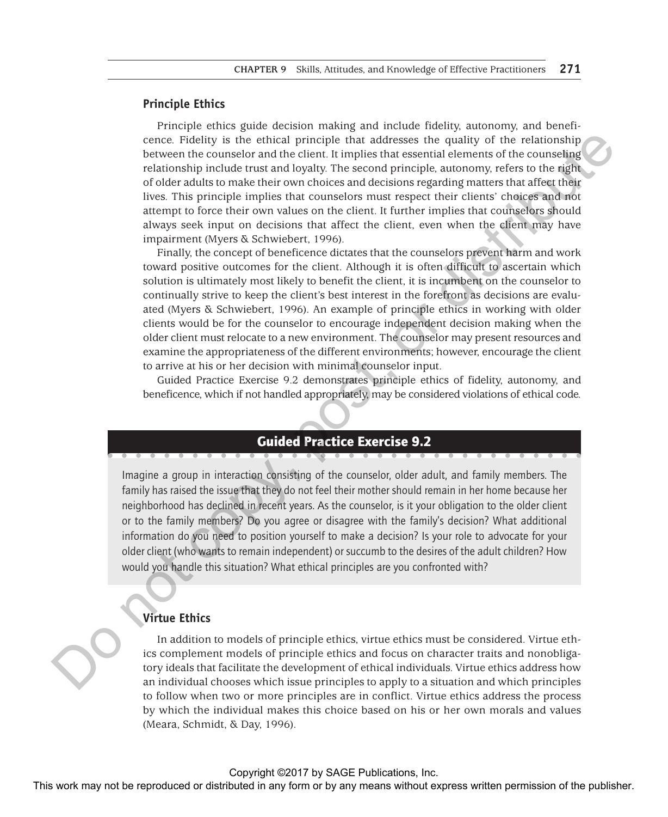#### **Principle Ethics**

Principle ethics guide decision making and include fidelity, autonomy, and beneficence. Fidelity is the ethical principle that addresses the quality of the relationship between the counselor and the client. It implies that essential elements of the counseling relationship include trust and loyalty. The second principle, autonomy, refers to the right of older adults to make their own choices and decisions regarding matters that affect their lives. This principle implies that counselors must respect their clients' choices and not attempt to force their own values on the client. It further implies that counselors should always seek input on decisions that affect the client, even when the client may have impairment (Myers & Schwiebert, 1996).

Finally, the concept of beneficence dictates that the counselors prevent harm and work toward positive outcomes for the client. Although it is often difficult to ascertain which solution is ultimately most likely to benefit the client, it is incumbent on the counselor to continually strive to keep the client's best interest in the forefront as decisions are evaluated (Myers & Schwiebert, 1996). An example of principle ethics in working with older clients would be for the counselor to encourage independent decision making when the older client must relocate to a new environment. The counselor may present resources and examine the appropriateness of the different environments; however, encourage the client to arrive at his or her decision with minimal counselor input. terms. This is the related or the publishes in any form of the counts this publishes the relationship including the relation or between the publishes of distribution that the relationship including the relationship in a c

Guided Practice Exercise 9.2 demonstrates principle ethics of fidelity, autonomy, and beneficence, which if not handled appropriately, may be considered violations of ethical code.

# Guided Practice Exercise 9.2

Imagine a group in interaction consisting of the counselor, older adult, and family members. The family has raised the issue that they do not feel their mother should remain in her home because her neighborhood has declined in recent years. As the counselor, is it your obligation to the older client or to the family members? Do you agree or disagree with the family's decision? What additional information do you need to position yourself to make a decision? Is your role to advocate for your older client (who wants to remain independent) or succumb to the desires of the adult children? How would you handle this situation? What ethical principles are you confronted with?

## **Virtue Ethics**

In addition to models of principle ethics, virtue ethics must be considered. Virtue ethics complement models of principle ethics and focus on character traits and nonobligatory ideals that facilitate the development of ethical individuals. Virtue ethics address how an individual chooses which issue principles to apply to a situation and which principles to follow when two or more principles are in conflict. Virtue ethics address the process by which the individual makes this choice based on his or her own morals and values (Meara, Schmidt, & Day, 1996).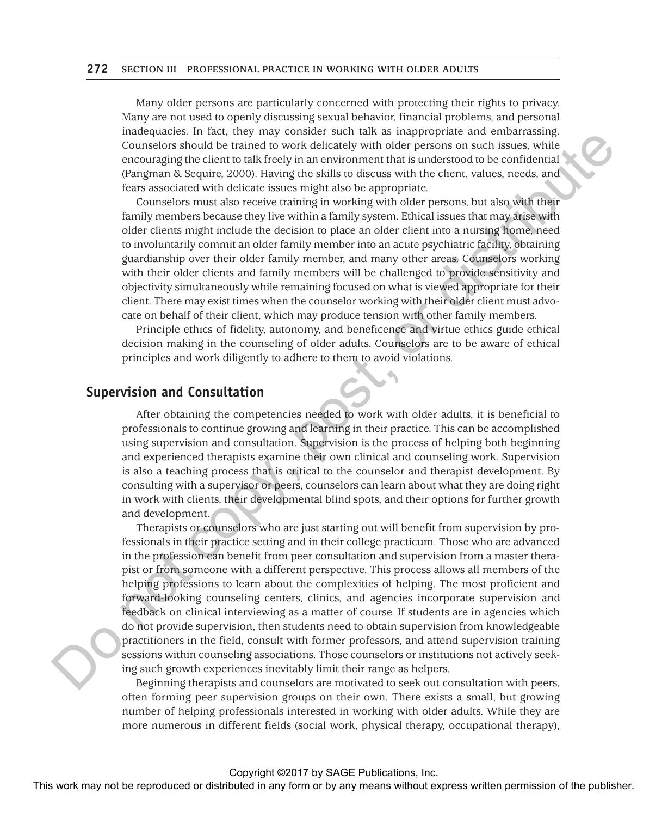Many older persons are particularly concerned with protecting their rights to privacy. Many are not used to openly discussing sexual behavior, financial problems, and personal inadequacies. In fact, they may consider such talk as inappropriate and embarrassing. Counselors should be trained to work delicately with older persons on such issues, while encouraging the client to talk freely in an environment that is understood to be confidential (Pangman & Sequire, 2000). Having the skills to discuss with the client, values, needs, and fears associated with delicate issues might also be appropriate.

Counselors must also receive training in working with older persons, but also with their family members because they live within a family system. Ethical issues that may arise with older clients might include the decision to place an older client into a nursing home, need to involuntarily commit an older family member into an acute psychiatric facility, obtaining guardianship over their older family member, and many other areas. Counselors working with their older clients and family members will be challenged to provide sensitivity and objectivity simultaneously while remaining focused on what is viewed appropriate for their client. There may exist times when the counselor working with their older client must advocate on behalf of their client, which may produce tension with other family members.

Principle ethics of fidelity, autonomy, and beneficence and virtue ethics guide ethical decision making in the counseling of older adults. Counselors are to be aware of ethical principles and work diligently to adhere to them to avoid violations.

## **Supervision and Consultation**

After obtaining the competencies needed to work with older adults, it is beneficial to professionals to continue growing and learning in their practice. This can be accomplished using supervision and consultation. Supervision is the process of helping both beginning and experienced therapists examine their own clinical and counseling work. Supervision is also a teaching process that is critical to the counselor and therapist development. By consulting with a supervisor or peers, counselors can learn about what they are doing right in work with clients, their developmental blind spots, and their options for further growth and development.

Therapists or counselors who are just starting out will benefit from supervision by professionals in their practice setting and in their college practicum. Those who are advanced in the profession can benefit from peer consultation and supervision from a master therapist or from someone with a different perspective. This process allows all members of the helping professions to learn about the complexities of helping. The most proficient and forward-looking counseling centers, clinics, and agencies incorporate supervision and feedback on clinical interviewing as a matter of course. If students are in agencies which do not provide supervision, then students need to obtain supervision from knowledgeable practitioners in the field, consult with former professors, and attend supervision training sessions within counseling associations. Those counselors or institutions not actively seeking such growth experiences inevitably limit their range as helpers. The rest is the repression of the repression of the repression of the publisher and any form or by an any form or by an any form or by any means with the complete in the contributed in the contributed in the contributed i

Beginning therapists and counselors are motivated to seek out consultation with peers, often forming peer supervision groups on their own. There exists a small, but growing number of helping professionals interested in working with older adults. While they are more numerous in different fields (social work, physical therapy, occupational therapy),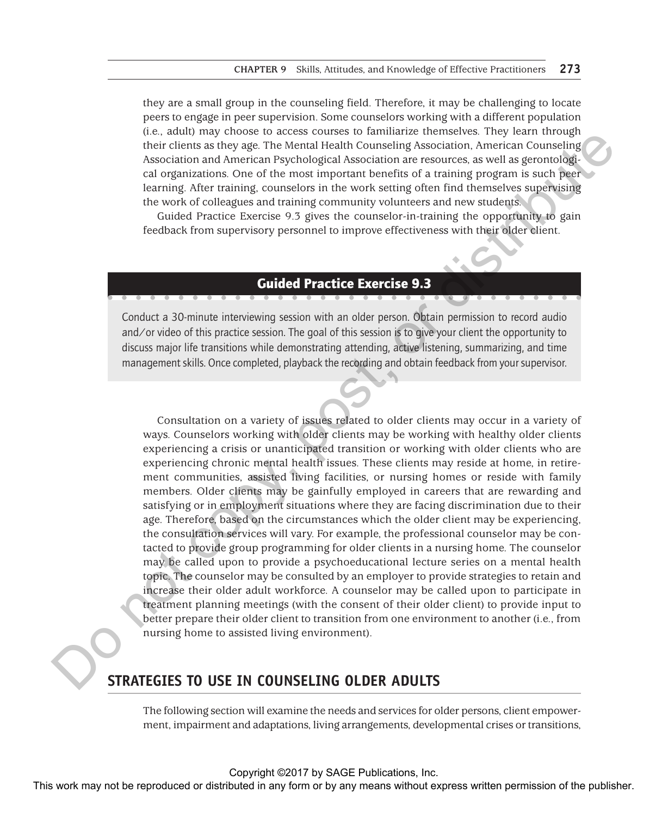they are a small group in the counseling field. Therefore, it may be challenging to locate peers to engage in peer supervision. Some counselors working with a different population (i.e., adult) may choose to access courses to familiarize themselves. They learn through their clients as they age. The Mental Health Counseling Association, American Counseling Association and American Psychological Association are resources, as well as gerontological organizations. One of the most important benefits of a training program is such peer learning. After training, counselors in the work setting often find themselves supervising the work of colleagues and training community volunteers and new students.

Guided Practice Exercise 9.3 gives the counselor-in-training the opportunity to gain feedback from supervisory personnel to improve effectiveness with their older client.

## Guided Practice Exercise 9.3

Conduct a 30-minute interviewing session with an older person. Obtain permission to record audio and/or video of this practice session. The goal of this session is to give your client the opportunity to discuss major life transitions while demonstrating attending, active listening, summarizing, and time management skills. Once completed, playback the recording and obtain feedback from your supervisor.

Consultation on a variety of issues related to older clients may occur in a variety of ways. Counselors working with older clients may be working with healthy older clients experiencing a crisis or unanticipated transition or working with older clients who are experiencing chronic mental health issues. These clients may reside at home, in retirement communities, assisted living facilities, or nursing homes or reside with family members. Older clients may be gainfully employed in careers that are rewarding and satisfying or in employment situations where they are facing discrimination due to their age. Therefore, based on the circumstances which the older client may be experiencing, the consultation services will vary. For example, the professional counselor may be contacted to provide group programming for older clients in a nursing home. The counselor may be called upon to provide a psychoeducational lecture series on a mental health topic. The counselor may be consulted by an employer to provide strategies to retain and increase their older adult workforce. A counselor may be called upon to participate in treatment planning meetings (with the consent of their older client) to provide input to better prepare their older client to transition from one environment to another (i.e., from nursing home to assisted living environment). The results work may not be reproduced or the results with the results were reproduced to the results with the results were reproduced to the results of the results of the results of the publisher. This was not be a propo

# **STRATEGIES TO USE IN COUNSELING OLDER ADULTS**

The following section will examine the needs and services for older persons, client empowerment, impairment and adaptations, living arrangements, developmental crises or transitions,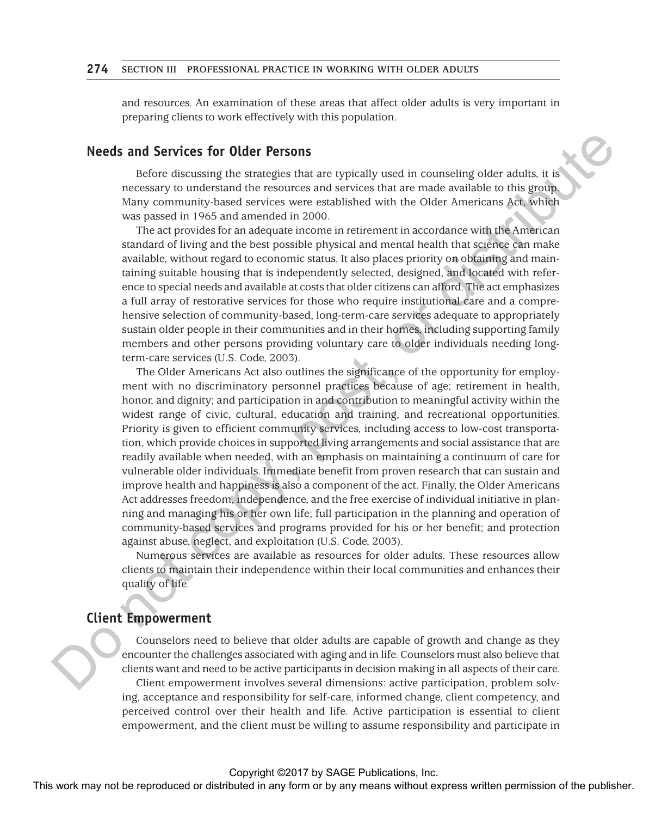#### **274 Section III PROFESSIONAL PRACTICE IN WORKING WITH OLDER ADULTS**

and resources. An examination of these areas that affect older adults is very important in preparing clients to work effectively with this population.

## **Needs and Services for Older Persons**

Before discussing the strategies that are typically used in counseling older adults, it is necessary to understand the resources and services that are made available to this group. Many community-based services were established with the Older Americans Act, which was passed in 1965 and amended in 2000.

The act provides for an adequate income in retirement in accordance with the American standard of living and the best possible physical and mental health that science can make available, without regard to economic status. It also places priority on obtaining and maintaining suitable housing that is independently selected, designed, and located with reference to special needs and available at costs that older citizens can afford. The act emphasizes a full array of restorative services for those who require institutional care and a comprehensive selection of community-based, long-term-care services adequate to appropriately sustain older people in their communities and in their homes, including supporting family members and other persons providing voluntary care to older individuals needing longterm-care services (U.S. Code, 2003).

The Older Americans Act also outlines the significance of the opportunity for employment with no discriminatory personnel practices because of age; retirement in health, honor, and dignity; and participation in and contribution to meaningful activity within the widest range of civic, cultural, education and training, and recreational opportunities. Priority is given to efficient community services, including access to low-cost transportation, which provide choices in supported living arrangements and social assistance that are readily available when needed, with an emphasis on maintaining a continuum of care for vulnerable older individuals. Immediate benefit from proven research that can sustain and improve health and happiness is also a component of the act. Finally, the Older Americans Act addresses freedom, independence, and the free exercise of individual initiative in planning and managing his or her own life; full participation in the planning and operation of community-based services and programs provided for his or her benefit; and protection against abuse, neglect, and exploitation (U.S. Code, 2003). Needs and Services for Older Persons<br>
recreasing the strating estate and are represented in a meaning-based are removed in any containing-based are relationship with the Gost Architecture<br>
with propositions of the publish

Numerous services are available as resources for older adults. These resources allow clients to maintain their independence within their local communities and enhances their quality of life.

## **Client Empowerment**

Counselors need to believe that older adults are capable of growth and change as they encounter the challenges associated with aging and in life. Counselors must also believe that clients want and need to be active participants in decision making in all aspects of their care. Client empowerment involves several dimensions: active participation, problem solving, acceptance and responsibility for self-care, informed change, client competency, and perceived control over their health and life. Active participation is essential to client empowerment, and the client must be willing to assume responsibility and participate in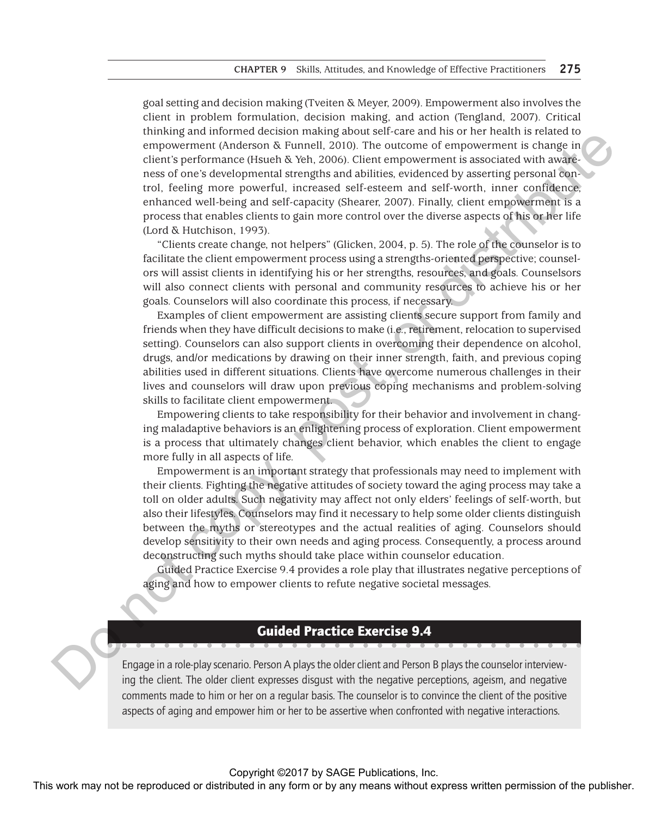goal setting and decision making (Tveiten & Meyer, 2009). Empowerment also involves the client in problem formulation, decision making, and action (Tengland, 2007). Critical thinking and informed decision making about self-care and his or her health is related to empowerment (Anderson & Funnell, 2010). The outcome of empowerment is change in client's performance (Hsueh & Yeh, 2006). Client empowerment is associated with awareness of one's developmental strengths and abilities, evidenced by asserting personal control, feeling more powerful, increased self-esteem and self-worth, inner confidence, enhanced well-being and self-capacity (Shearer, 2007). Finally, client empowerment is a process that enables clients to gain more control over the diverse aspects of his or her life (Lord & Hutchison, 1993). The repression or the repression or the repression of the representation or distributed in any form or the representation of the representation of the representation of the representation of the publisher. We are distribut

"Clients create change, not helpers" (Glicken, 2004, p. 5). The role of the counselor is to facilitate the client empowerment process using a strengths-oriented perspective; counselors will assist clients in identifying his or her strengths, resources, and goals. Counselsors will also connect clients with personal and community resources to achieve his or her goals. Counselors will also coordinate this process, if necessary.

Examples of client empowerment are assisting clients secure support from family and friends when they have difficult decisions to make (i.e., retirement, relocation to supervised setting). Counselors can also support clients in overcoming their dependence on alcohol, drugs, and/or medications by drawing on their inner strength, faith, and previous coping abilities used in different situations. Clients have overcome numerous challenges in their lives and counselors will draw upon previous coping mechanisms and problem-solving skills to facilitate client empowerment.

Empowering clients to take responsibility for their behavior and involvement in changing maladaptive behaviors is an enlightening process of exploration. Client empowerment is a process that ultimately changes client behavior, which enables the client to engage more fully in all aspects of life.

Empowerment is an important strategy that professionals may need to implement with their clients. Fighting the negative attitudes of society toward the aging process may take a toll on older adults. Such negativity may affect not only elders' feelings of self-worth, but also their lifestyles. Counselors may find it necessary to help some older clients distinguish between the myths or stereotypes and the actual realities of aging. Counselors should develop sensitivity to their own needs and aging process. Consequently, a process around deconstructing such myths should take place within counselor education.

Guided Practice Exercise 9.4 provides a role play that illustrates negative perceptions of aging and how to empower clients to refute negative societal messages.

# Guided Practice Exercise 9.4

Engage in a role-play scenario. Person A plays the older client and Person B plays the counselor interviewing the client. The older client expresses disgust with the negative perceptions, ageism, and negative comments made to him or her on a regular basis. The counselor is to convince the client of the positive aspects of aging and empower him or her to be assertive when confronted with negative interactions.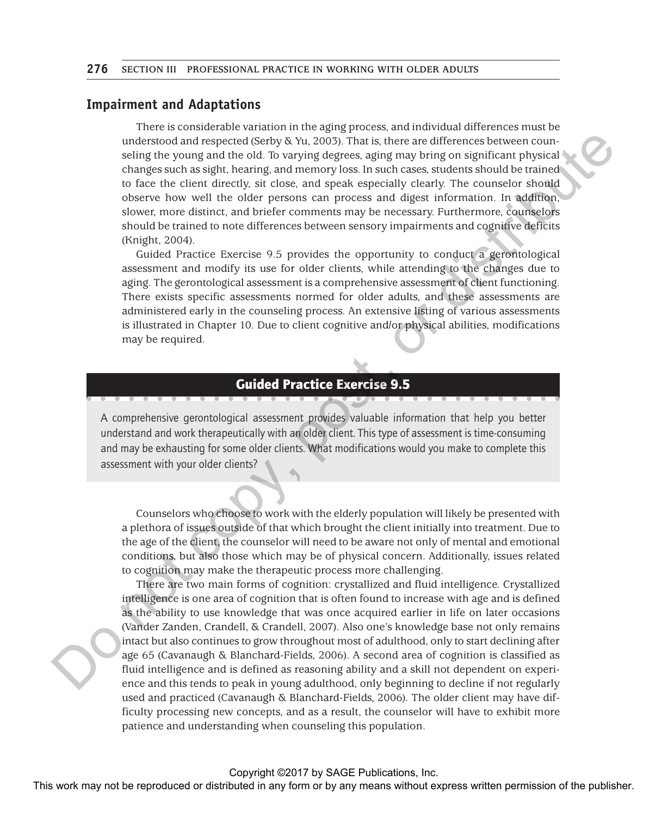## **Impairment and Adaptations**

There is considerable variation in the aging process, and individual differences must be understood and respected (Serby  $\& Yu$ , 2003). That is, there are differences between counseling the young and the old. To varying degrees, aging may bring on significant physical changes such as sight, hearing, and memory loss. In such cases, students should be trained to face the client directly, sit close, and speak especially clearly. The counselor should observe how well the older persons can process and digest information. In addition, slower, more distinct, and briefer comments may be necessary. Furthermore, counselors should be trained to note differences between sensory impairments and cognitive deficits (Knight, 2004).

Guided Practice Exercise 9.5 provides the opportunity to conduct a gerontological assessment and modify its use for older clients, while attending to the changes due to aging. The gerontological assessment is a comprehensive assessment of client functioning. There exists specific assessments normed for older adults, and these assessments are administered early in the counseling process. An extensive listing of various assessments is illustrated in Chapter 10. Due to client cognitive and/or physical abilities, modifications may be required.

# Guided Practice Exercise 9.5

A comprehensive gerontological assessment provides valuable information that help you better understand and work therapeutically with an older client. This type of assessment is time-consuming and may be exhausting for some older clients. What modifications would you make to complete this assessment with your older clients?

Counselors who choose to work with the elderly population will likely be presented with a plethora of issues outside of that which brought the client initially into treatment. Due to the age of the client, the counselor will need to be aware not only of mental and emotional conditions, but also those which may be of physical concern. Additionally, issues related to cognition may make the therapeutic process more challenging.

There are two main forms of cognition: crystallized and fluid intelligence. Crystallized intelligence is one area of cognition that is often found to increase with age and is defined as the ability to use knowledge that was once acquired earlier in life on later occasions (Vander Zanden, Crandell, & Crandell, 2007). Also one's knowledge base not only remains intact but also continues to grow throughout most of adulthood, only to start declining after age 65 (Cavanaugh & Blanchard-Fields, 2006). A second area of cognition is classified as fluid intelligence and is defined as reasoning ability and a skill not dependent on experience and this tends to peak in young adulthood, only beginning to decline if not regularly used and practiced (Cavanaugh & Blanchard-Fields, 2006). The older client may have difficulty processing new concepts, and as a result, the counselor will have to exhibit more patience and understanding when counseling this population. material and the represented or the representation of the results are an different in the results and the results in a sight. In any interval constraints a may have shown in the sight harmon can be reproduced by the const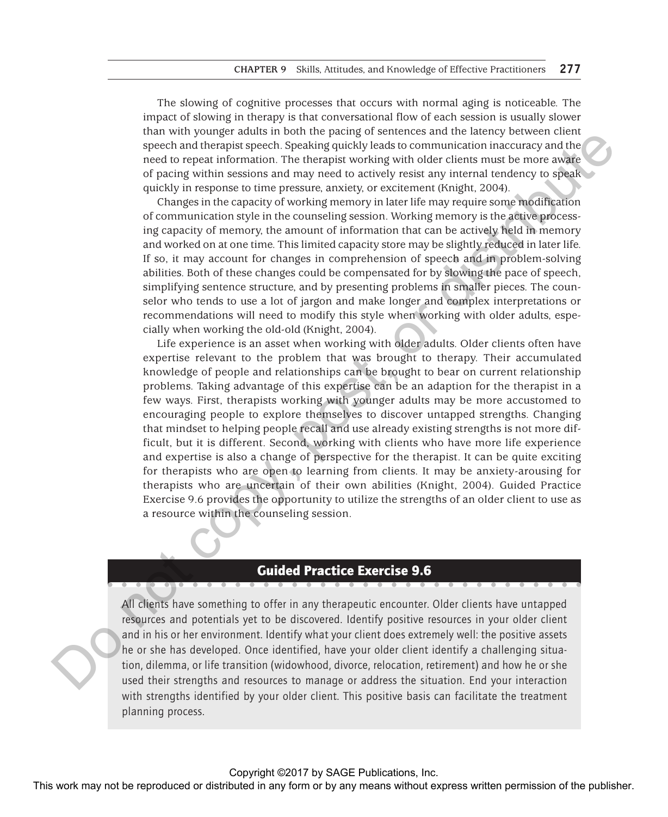The slowing of cognitive processes that occurs with normal aging is noticeable. The impact of slowing in therapy is that conversational flow of each session is usually slower than with younger adults in both the pacing of sentences and the latency between client speech and therapist speech. Speaking quickly leads to communication inaccuracy and the need to repeat information. The therapist working with older clients must be more aware of pacing within sessions and may need to actively resist any internal tendency to speak quickly in response to time pressure, anxiety, or excitement (Knight, 2004).

Changes in the capacity of working memory in later life may require some modification of communication style in the counseling session. Working memory is the active processing capacity of memory, the amount of information that can be actively held in memory and worked on at one time. This limited capacity store may be slightly reduced in later life. If so, it may account for changes in comprehension of speech and in problem-solving abilities. Both of these changes could be compensated for by slowing the pace of speech, simplifying sentence structure, and by presenting problems in smaller pieces. The counselor who tends to use a lot of jargon and make longer and complex interpretations or recommendations will need to modify this style when working with older adults, especially when working the old-old (Knight, 2004).

Life experience is an asset when working with older adults. Older clients often have expertise relevant to the problem that was brought to therapy. Their accumulated knowledge of people and relationships can be brought to bear on current relationship problems. Taking advantage of this expertise can be an adaption for the therapist in a few ways. First, therapists working with younger adults may be more accustomed to encouraging people to explore themselves to discover untapped strengths. Changing that mindset to helping people recall and use already existing strengths is not more difficult, but it is different. Second, working with clients who have more life experience and expertise is also a change of perspective for the therapist. It can be quite exciting for therapists who are open to learning from clients. It may be anxiety-arousing for therapists who are uncertain of their own abilities (Knight, 2004). Guided Practice Exercise 9.6 provides the opportunity to utilize the strengths of an older client to use as a resource within the counseling session. The most may not be reproduced or distributed or distributed or distributed in any form or by any means with the reproduced or distributed in any means with the publisher. This is well as a most of the publisher or distrib

## Guided Practice Exercise 9.6

All clients have something to offer in any therapeutic encounter. Older clients have untapped resources and potentials yet to be discovered. Identify positive resources in your older client and in his or her environment. Identify what your client does extremely well: the positive assets he or she has developed. Once identified, have your older client identify a challenging situation, dilemma, or life transition (widowhood, divorce, relocation, retirement) and how he or she used their strengths and resources to manage or address the situation. End your interaction with strengths identified by your older client. This positive basis can facilitate the treatment planning process.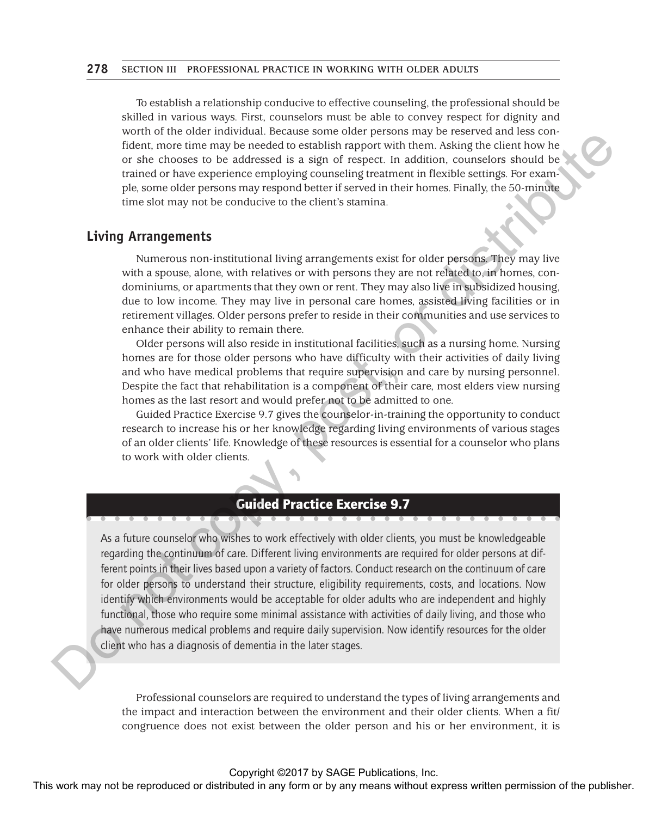To establish a relationship conducive to effective counseling, the professional should be skilled in various ways. First, counselors must be able to convey respect for dignity and worth of the older individual. Because some older persons may be reserved and less confident, more time may be needed to establish rapport with them. Asking the client how he or she chooses to be addressed is a sign of respect. In addition, counselors should be trained or have experience employing counseling treatment in flexible settings. For example, some older persons may respond better if served in their homes. Finally, the 50-minute time slot may not be conducive to the client's stamina.

## **Living Arrangements**

Numerous non-institutional living arrangements exist for older persons. They may live with a spouse, alone, with relatives or with persons they are not related to, in homes, condominiums, or apartments that they own or rent. They may also live in subsidized housing, due to low income. They may live in personal care homes, assisted living facilities or in retirement villages. Older persons prefer to reside in their communities and use services to enhance their ability to remain there.

Older persons will also reside in institutional facilities, such as a nursing home. Nursing homes are for those older persons who have difficulty with their activities of daily living and who have medical problems that require supervision and care by nursing personnel. Despite the fact that rehabilitation is a component of their care, most elders view nursing homes as the last resort and would prefer not to be admitted to one.

Guided Practice Exercise 9.7 gives the counselor-in-training the opportunity to conduct research to increase his or her knowledge regarding living environments of various stages of an older clients' life. Knowledge of these resources is essential for a counselor who plans to work with older clients.

## Guided Practice Exercise 9.7

As a future counselor who wishes to work effectively with older clients, you must be knowledgeable regarding the continuum of care. Different living environments are required for older persons at different points in their lives based upon a variety of factors. Conduct research on the continuum of care for older persons to understand their structure, eligibility requirements, costs, and locations. Now identify which environments would be acceptable for older adults who are independent and highly functional, those who require some minimal assistance with activities of daily living, and those who have numerous medical problems and require daily supervision. Now identify resources for the older client who has a diagnosis of dementia in the later stages. The representation of the representation or distributed in any form or by any means with a control or the publisher.<br>
This work may not be a substituted in a sign of repress in angle in any form or beach or the symmetric o

Professional counselors are required to understand the types of living arrangements and the impact and interaction between the environment and their older clients. When a fit/ congruence does not exist between the older person and his or her environment, it is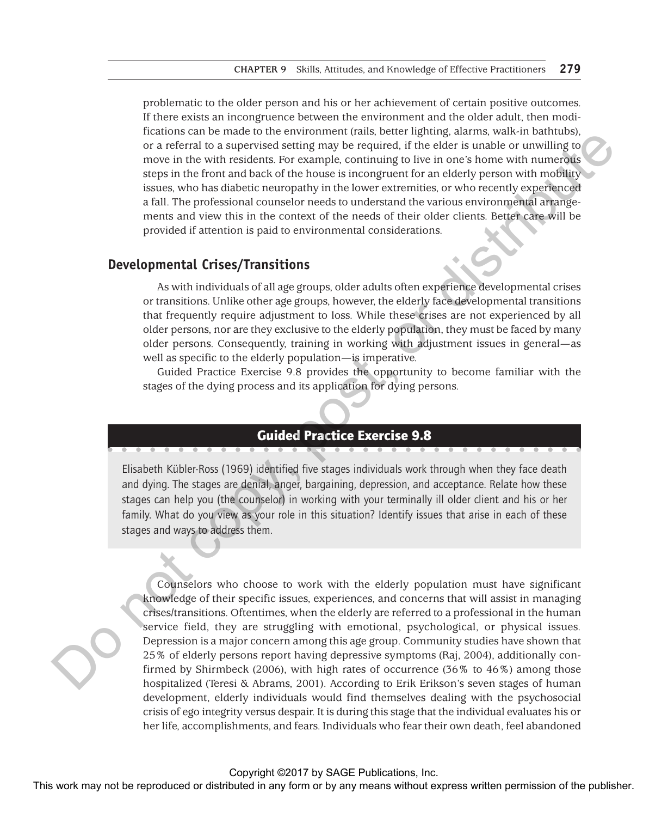problematic to the older person and his or her achievement of certain positive outcomes. If there exists an incongruence between the environment and the older adult, then modifications can be made to the environment (rails, better lighting, alarms, walk-in bathtubs), or a referral to a supervised setting may be required, if the elder is unable or unwilling to move in the with residents. For example, continuing to live in one's home with numerous steps in the front and back of the house is incongruent for an elderly person with mobility issues, who has diabetic neuropathy in the lower extremities, or who recently experienced a fall. The professional counselor needs to understand the various environmental arrangements and view this in the context of the needs of their older clients. Better care will be provided if attention is paid to environmental considerations.

## **Developmental Crises/Transitions**

As with individuals of all age groups, older adults often experience developmental crises or transitions. Unlike other age groups, however, the elderly face developmental transitions that frequently require adjustment to loss. While these crises are not experienced by all older persons, nor are they exclusive to the elderly population, they must be faced by many older persons. Consequently, training in working with adjustment issues in general—as well as specific to the elderly population—is imperative.

Guided Practice Exercise 9.8 provides the opportunity to become familiar with the stages of the dying process and its application for dying persons.

## Guided Practice Exercise 9.8

Elisabeth Kübler-Ross (1969) identified five stages individuals work through when they face death and dying. The stages are denial, anger, bargaining, depression, and acceptance. Relate how these stages can help you (the counselor) in working with your terminally ill older client and his or her family. What do you view as your role in this situation? Identify issues that arise in each of these stages and ways to address them.

Counselors who choose to work with the elderly population must have significant knowledge of their specific issues, experiences, and concerns that will assist in managing crises/transitions. Oftentimes, when the elderly are referred to a professional in the human service field, they are struggling with emotional, psychological, or physical issues. Depression is a major concern among this age group. Community studies have shown that 25% of elderly persons report having depressive symptoms (Raj, 2004), additionally confirmed by Shirmbeck (2006), with high rates of occurrence (36% to 46%) among those hospitalized (Teresi & Abrams, 2001). According to Erik Erikson's seven stages of human development, elderly individuals would find themselves dealing with the psychosocial crisis of ego integrity versus despair. It is during this stage that the individual evaluates his or her life, accomplishments, and fears. Individuals who fear their own death, feel abandoned The contributed or the state is a specifical or distributed in any form or by any means with means we consider the reproduced in any form or by any means when the publisher. This work means we consider the publisher means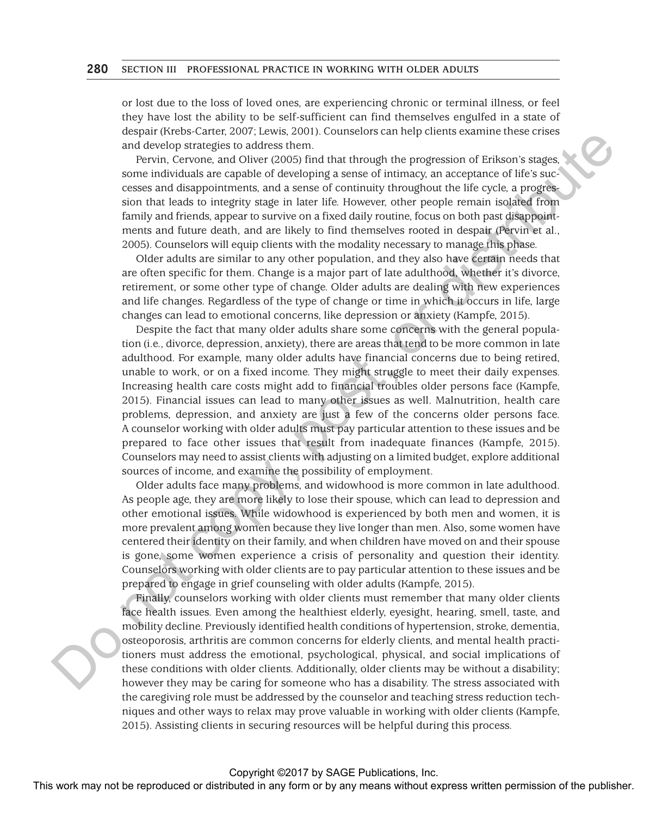or lost due to the loss of loved ones, are experiencing chronic or terminal illness, or feel they have lost the ability to be self-sufficient can find themselves engulfed in a state of despair (Krebs-Carter, 2007; Lewis, 2001). Counselors can help clients examine these crises and develop strategies to address them.

Pervin, Cervone, and Oliver (2005) find that through the progression of Erikson's stages, some individuals are capable of developing a sense of intimacy, an acceptance of life's successes and disappointments, and a sense of continuity throughout the life cycle, a progression that leads to integrity stage in later life. However, other people remain isolated from family and friends, appear to survive on a fixed daily routine, focus on both past disappointments and future death, and are likely to find themselves rooted in despair (Pervin et al., 2005). Counselors will equip clients with the modality necessary to manage this phase.

Older adults are similar to any other population, and they also have certain needs that are often specific for them. Change is a major part of late adulthood, whether it's divorce, retirement, or some other type of change. Older adults are dealing with new experiences and life changes. Regardless of the type of change or time in which it occurs in life, large changes can lead to emotional concerns, like depression or anxiety (Kampfe, 2015).

Despite the fact that many older adults share some concerns with the general population (i.e., divorce, depression, anxiety), there are areas that tend to be more common in late adulthood. For example, many older adults have financial concerns due to being retired, unable to work, or on a fixed income. They might struggle to meet their daily expenses. Increasing health care costs might add to financial troubles older persons face (Kampfe, 2015). Financial issues can lead to many other issues as well. Malnutrition, health care problems, depression, and anxiety are just a few of the concerns older persons face. A counselor working with older adults must pay particular attention to these issues and be prepared to face other issues that result from inadequate finances (Kampfe, 2015). Counselors may need to assist clients with adjusting on a limited budget, explore additional sources of income, and examine the possibility of employment. Explain the representation of the reproduced or the publishering or the publishering or the publishering a may not be reproduced or the publishering a matrix of the publishering a may not be reproduced of the publishering

Older adults face many problems, and widowhood is more common in late adulthood. As people age, they are more likely to lose their spouse, which can lead to depression and other emotional issues. While widowhood is experienced by both men and women, it is more prevalent among women because they live longer than men. Also, some women have centered their identity on their family, and when children have moved on and their spouse is gone, some women experience a crisis of personality and question their identity. Counselors working with older clients are to pay particular attention to these issues and be prepared to engage in grief counseling with older adults (Kampfe, 2015).



Finally, counselors working with older clients must remember that many older clients face health issues. Even among the healthiest elderly, eyesight, hearing, smell, taste, and mobility decline. Previously identified health conditions of hypertension, stroke, dementia, osteoporosis, arthritis are common concerns for elderly clients, and mental health practitioners must address the emotional, psychological, physical, and social implications of these conditions with older clients. Additionally, older clients may be without a disability; however they may be caring for someone who has a disability. The stress associated with the caregiving role must be addressed by the counselor and teaching stress reduction techniques and other ways to relax may prove valuable in working with older clients (Kampfe, 2015). Assisting clients in securing resources will be helpful during this process.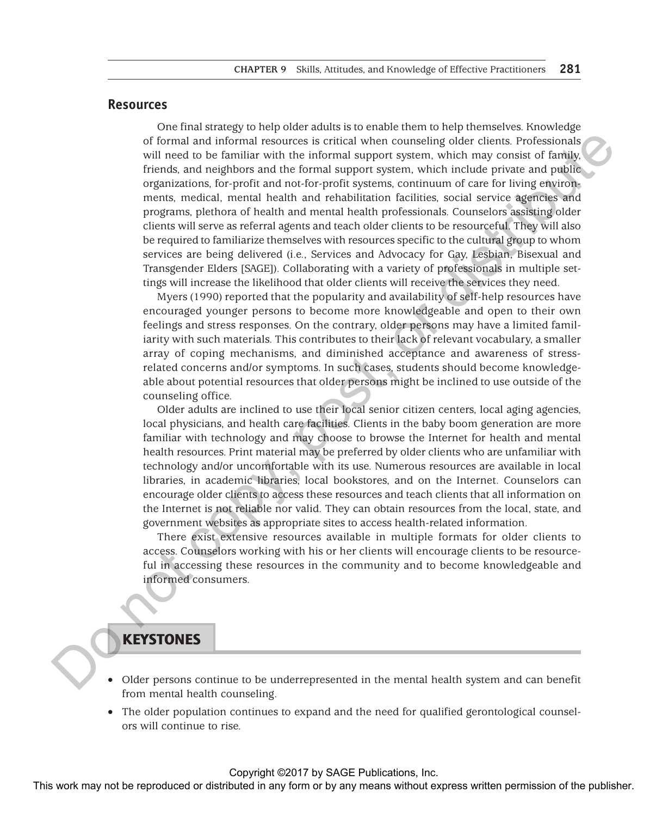## **Resources**

One final strategy to help older adults is to enable them to help themselves. Knowledge of formal and informal resources is critical when counseling older clients. Professionals will need to be familiar with the informal support system, which may consist of family, friends, and neighbors and the formal support system, which include private and public organizations, for-profit and not-for-profit systems, continuum of care for living environments, medical, mental health and rehabilitation facilities, social service agencies and programs, plethora of health and mental health professionals. Counselors assisting older clients will serve as referral agents and teach older clients to be resourceful. They will also be required to familiarize themselves with resources specific to the cultural group to whom services are being delivered (i.e., Services and Advocacy for Gay, Lesbian, Bisexual and Transgender Elders [SAGE]). Collaborating with a variety of professionals in multiple settings will increase the likelihood that older clients will receive the services they need. If thermal or the representation is the representation of the representation of the representation of the representation of the representation of the representation of the representation of the publisher. The compatibilit

Myers (1990) reported that the popularity and availability of self-help resources have encouraged younger persons to become more knowledgeable and open to their own feelings and stress responses. On the contrary, older persons may have a limited familiarity with such materials. This contributes to their lack of relevant vocabulary, a smaller array of coping mechanisms, and diminished acceptance and awareness of stressrelated concerns and/or symptoms. In such cases, students should become knowledgeable about potential resources that older persons might be inclined to use outside of the counseling office.

Older adults are inclined to use their local senior citizen centers, local aging agencies, local physicians, and health care facilities. Clients in the baby boom generation are more familiar with technology and may choose to browse the Internet for health and mental health resources. Print material may be preferred by older clients who are unfamiliar with technology and/or uncomfortable with its use. Numerous resources are available in local libraries, in academic libraries, local bookstores, and on the Internet. Counselors can encourage older clients to access these resources and teach clients that all information on the Internet is not reliable nor valid. They can obtain resources from the local, state, and government websites as appropriate sites to access health-related information.

There exist extensive resources available in multiple formats for older clients to access. Counselors working with his or her clients will encourage clients to be resourceful in accessing these resources in the community and to become knowledgeable and informed consumers.

# **KEYSTONES**

- Older persons continue to be underrepresented in the mental health system and can benefit from mental health counseling.
- The older population continues to expand and the need for qualified gerontological counselors will continue to rise.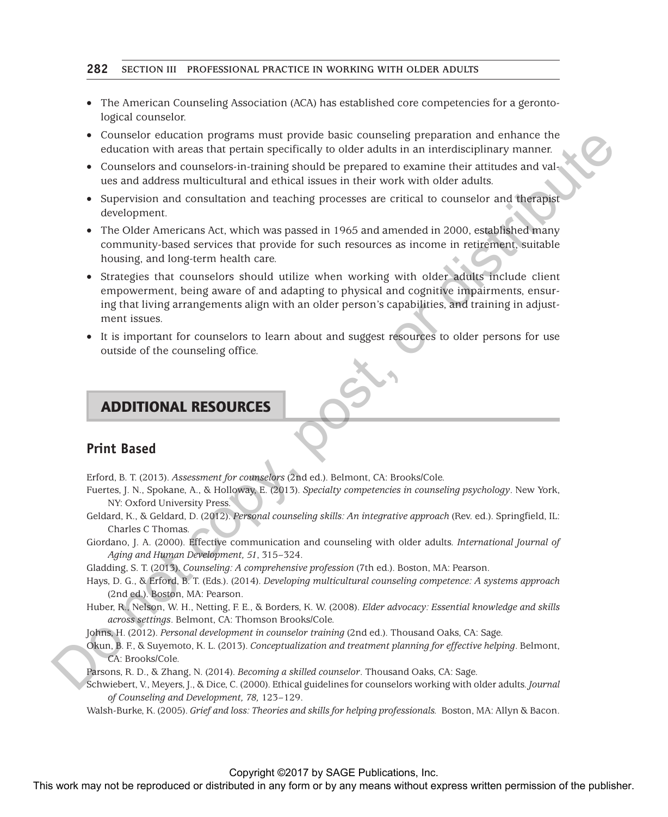#### **282 Section III PROFESSIONAL PRACTICE IN WORKING WITH OLDER ADULTS**

- The American Counseling Association (ACA) has established core competencies for a gerontological counselor.
- Counselor education programs must provide basic counseling preparation and enhance the education with areas that pertain specifically to older adults in an interdisciplinary manner.
- Counselors and counselors-in-training should be prepared to examine their attitudes and values and address multicultural and ethical issues in their work with older adults.
- Supervision and consultation and teaching processes are critical to counselor and therapist development.
- The Older Americans Act, which was passed in 1965 and amended in 2000, established many community-based services that provide for such resources as income in retirement, suitable housing, and long-term health care.
- Strategies that counselors should utilize when working with older adults include client empowerment, being aware of and adapting to physical and cognitive impairments, ensuring that living arrangements align with an older person's capabilities, and training in adjustment issues. Connection and connection to the reproduced in the results of the reproduced or the reproduced or  $\sim$  Connection and connection and connection and connection and connection and connection of the represented in any connec
	- It is important for counselors to learn about and suggest resources to older persons for use outside of the counseling office.

# ADDITIONAL RESOURCES

# **Print Based**

Erford, B. T. (2013). *Assessment for counselors* (2nd ed.). Belmont, CA: Brooks/Cole.

- Fuertes, J. N., Spokane, A., & Holloway, E. (2013). *Specialty competencies in counseling psychology*. New York, NY: Oxford University Press.
- Geldard, K., & Geldard, D. (2012). *Personal counseling skills: An integrative approach* (Rev. ed.). Springfield, IL: Charles C Thomas.
- Giordano, J. A. (2000). Effective communication and counseling with older adults. *International Journal of Aging and Human Development, 51*, 315–324.

Gladding, S. T. (2013). *Counseling: A comprehensive profession* (7th ed.). Boston, MA: Pearson.

- Hays, D. G., & Erford, B. T. (Eds.). (2014). *Developing multicultural counseling competence: A systems approach*  (2nd ed.). Boston, MA: Pearson.
- Huber, R., Nelson, W. H., Netting, F. E., & Borders, K. W. (2008). *Elder advocacy: Essential knowledge and skills across settings*. Belmont, CA: Thomson Brooks/Cole.

Johns, H. (2012). *Personal development in counselor training* (2nd ed.). Thousand Oaks, CA: Sage.

Okun, B. F., & Suyemoto, K. L. (2013). *Conceptualization and treatment planning for effective helping*. Belmont, CA: Brooks/Cole.

Parsons, R. D., & Zhang, N. (2014). *Becoming a skilled counselor*. Thousand Oaks, CA: Sage.

Schwiebert, V., Meyers, J., & Dice, C. (2000). Ethical guidelines for counselors working with older adults. *Journal of Counseling and Development, 78,* 123–129.

Walsh-Burke, K. (2005). *Grief and loss: Theories and skills for helping professionals.* Boston, MA: Allyn & Bacon.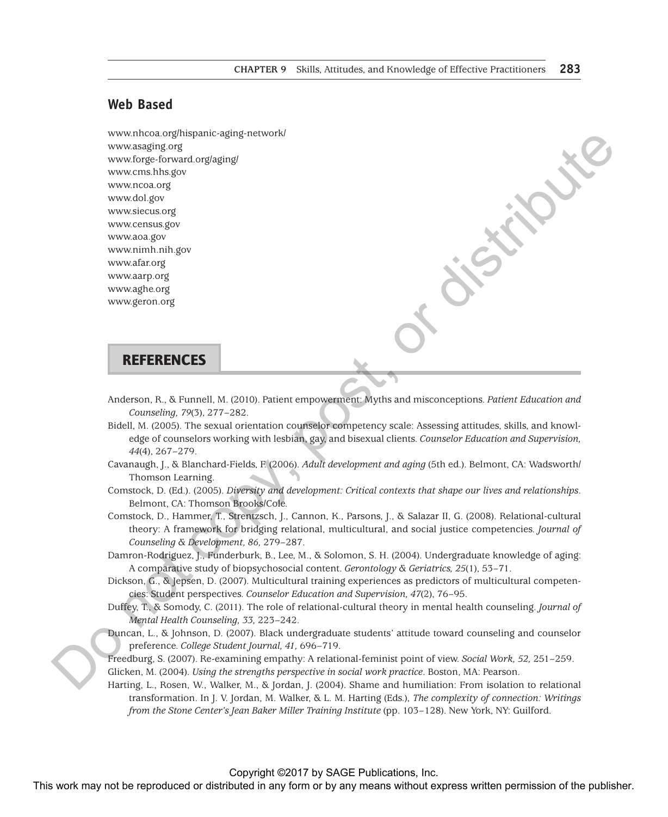## **Web Based**

www.nhcoa.org/hispanic-aging-network/ www.asaging.org www.forge-forward.org/aging/ www.cms.hhs.gov www.ncoa.org www.dol.gov www.siecus.org www.census.gov www.aoa.gov www.nimh.nih.gov www.afar.org www.aarp.org www.aghe.org www.geron.org Nextrain the specific stripular or distributed in any form or by an any form or by any means with a specific stripular or distributed in any form or be reproduced in any form or by any means with  $\alpha$  and  $\alpha$  or distribu

# **REFERENCES**

- Anderson, R., & Funnell, M. (2010). Patient empowerment: Myths and misconceptions. *Patient Education and Counseling, 79*(3), 277–282.
- Bidell, M. (2005). The sexual orientation counselor competency scale: Assessing attitudes, skills, and knowledge of counselors working with lesbian, gay, and bisexual clients. *Counselor Education and Supervision, 44*(4), 267–279.
- Cavanaugh, J., & Blanchard-Fields, F. (2006). *Adult development and aging* (5th ed.). Belmont, CA: Wadsworth/ Thomson Learning.
- Comstock, D. (Ed.). (2005). *Diversity and development: Critical contexts that shape our lives and relationships*. Belmont, CA: Thomson Brooks/Cole.
- Comstock, D., Hammer, T., Strentzsch, J., Cannon, K., Parsons, J., & Salazar II, G. (2008). Relational-cultural theory: A framework for bridging relational, multicultural, and social justice competencies. *Journal of Counseling & Development, 86,* 279–287.
- Damron-Rodriguez, J., Funderburk, B., Lee, M., & Solomon, S. H. (2004). Undergraduate knowledge of aging: A comparative study of biopsychosocial content. *Gerontology & Geriatrics, 25*(1), 53–71.
- Dickson, G., & Jepsen, D. (2007). Multicultural training experiences as predictors of multicultural competencies: Student perspectives. *Counselor Education and Supervision, 47*(2), 76–95.
- Duffey, T., & Somody, C. (2011). The role of relational-cultural theory in mental health counseling. *Journal of Mental Health Counseling, 33,* 223–242.
- Duncan, L., & Johnson, D. (2007). Black undergraduate students' attitude toward counseling and counselor preference. *College Student Journal, 41,* 696–719.

Freedburg, S. (2007). Re-examining empathy: A relational-feminist point of view. *Social Work, 52,* 251–259. Glicken, M. (2004). *Using the strengths perspective in social work practice*. Boston, MA: Pearson.

Harting, L., Rosen, W., Walker, M., & Jordan, J. (2004). Shame and humiliation: From isolation to relational transformation. In J. V. Jordan, M. Walker, & L. M. Harting (Eds.), *The complexity of connection: Writings from the Stone Center's Jean Baker Miller Training Institute* (pp. 103–128). New York, NY: Guilford.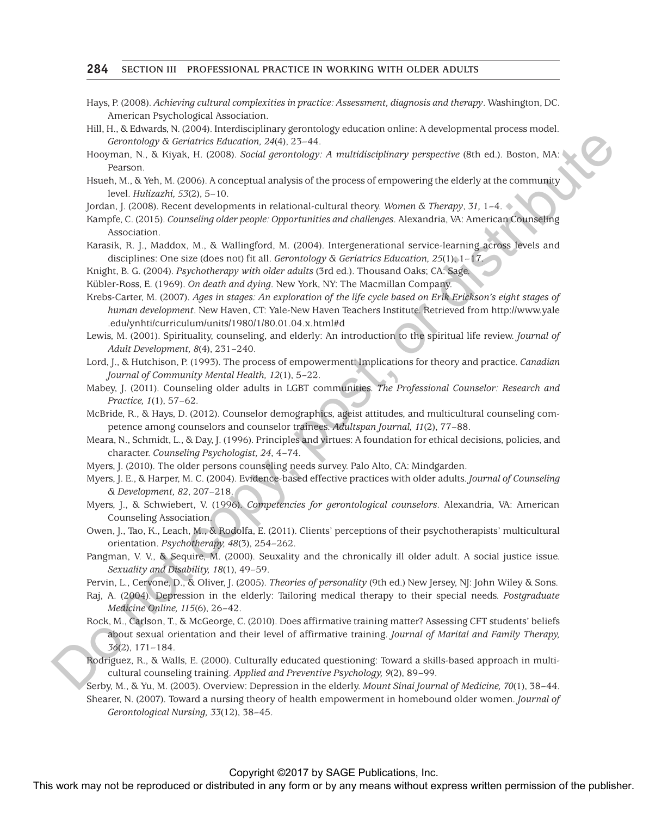#### **284 Section III PROFESSIONAL PRACTICE IN WORKING WITH OLDER ADULTS**

- Hays, P. (2008). *Achieving cultural complexities in practice: Assessment, diagnosis and therapy*. Washington, DC. American Psychological Association.
- Hill, H., & Edwards, N. (2004). Interdisciplinary gerontology education online: A developmental process model. *Gerontology & Geriatrics Education, 24*(4), 23–44.
- Hooyman, N., & Kiyak, H. (2008). *Social gerontology: A multidisciplinary perspective* (8th ed.). Boston, MA: Pearson.
- Hsueh, M., & Yeh, M. (2006). A conceptual analysis of the process of empowering the elderly at the community level. *Hulizazhi, 53*(2), 5–10.
- Jordan, J. (2008). Recent developments in relational-cultural theory. *Women & Therapy*, *31,* 1–4.
- Kampfe, C. (2015). *Counseling older people: Opportunities and challenges*. Alexandria, VA: American Counseling Association.
- Karasik, R. J., Maddox, M., & Wallingford, M. (2004). Intergenerational service-learning across levels and disciplines: One size (does not) fit all. *Gerontology & Geriatrics Education, 25*(1), 1–17.
- Knight, B. G. (2004). *Psychotherapy with older adults* (3rd ed.). Thousand Oaks; CA: Sage.

Kübler-Ross, E. (1969). *On death and dying*. New York, NY: The Macmillan Company.

- Krebs-Carter, M. (2007). *Ages in stages: An exploration of the life cycle based on Erik Erickson's eight stages of human development*. New Haven, CT: Yale-New Haven Teachers Institute. Retrieved from http://www.yale .edu/ynhti/curriculum/units/1980/1/80.01.04.x.html#d
- Lewis, M. (2001). Spirituality, counseling, and elderly: An introduction to the spiritual life review. *Journal of Adult Development, 8*(4), 231–240.
- Lord, J., & Hutchison, P. (1993). The process of empowerment: Implications for theory and practice. *Canadian Journal of Community Mental Health, 12*(1), 5–22.
- Mabey, J. (2011). Counseling older adults in LGBT communities. *The Professional Counselor: Research and Practice, 1*(1), 57–62.
- McBride, R., & Hays, D. (2012). Counselor demographics, ageist attitudes, and multicultural counseling competence among counselors and counselor trainees. *Adultspan Journal, 11*(2), 77–88.
- Meara, N., Schmidt, L., & Day, J. (1996). Principles and virtues: A foundation for ethical decisions, policies, and character. *Counseling Psychologist, 24*, 4–74.
- Myers, J. (2010). The older persons counseling needs survey. Palo Alto, CA: Mindgarden.
- Myers, J. E., & Harper, M. C. (2004). Evidence-based effective practices with older adults. *Journal of Counseling & Development, 82*, 207–218.
- Myers, J., & Schwiebert, V. (1996). *Competencies for gerontological counselors*. Alexandria, VA: American Counseling Association.
- Owen, J., Tao, K., Leach, M., & Rodolfa, E. (2011). Clients' perceptions of their psychotherapists' multicultural orientation. *Psychotherapy, 48*(3), 254–262.
- Pangman, V. V., & Sequire, M. (2000). Seuxality and the chronically ill older adult. A social justice issue. *Sexuality and Disability, 18*(1), 49–59.
- Pervin, L., Cervone, D., & Oliver, J. (2005). *Theories of personality* (9th ed.) New Jersey, NJ: John Wiley & Sons.
- Raj, A. (2004). Depression in the elderly: Tailoring medical therapy to their special needs. *Postgraduate Medicine Online, 115*(6), 26–42.
- Rock, M., Carlson, T., & McGeorge, C. (2010). Does affirmative training matter? Assessing CFT students' beliefs about sexual orientation and their level of affirmative training. *Journal of Marital and Family Therapy, 36*(2), 171–184. The may is a measure of the representation of the representation of the representation or distributed in any form or by any means with the publisher of the representation of the representation of the representation of the
	- Rodriguez, R., & Walls, E. (2000). Culturally educated questioning: Toward a skills-based approach in multicultural counseling training. *Applied and Preventive Psychology, 9*(2), 89–99.
	- Serby, M., & Yu, M. (2003). Overview: Depression in the elderly. *Mount Sinai Journal of Medicine, 70*(1), 38–44. Shearer, N. (2007). Toward a nursing theory of health empowerment in homebound older women. *Journal of Gerontological Nursing, 33*(12), 38–45.